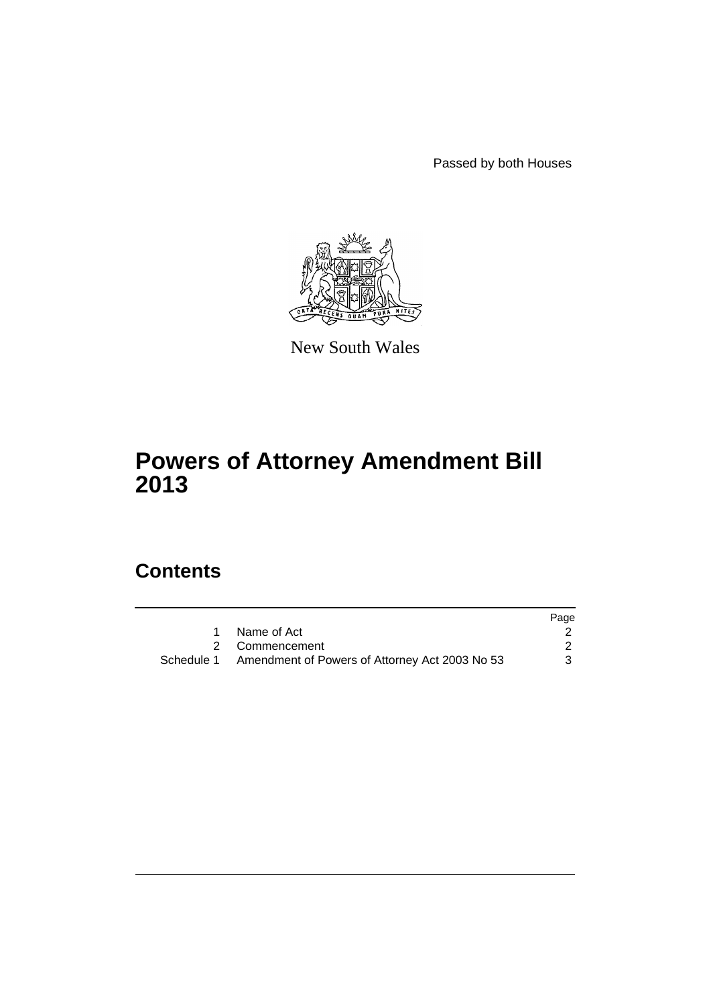Passed by both Houses



New South Wales

# **Powers of Attorney Amendment Bill 2013**

# **Contents**

|                                                           | Page |
|-----------------------------------------------------------|------|
| 1 Name of Act                                             |      |
| 2 Commencement                                            |      |
| Schedule 1 Amendment of Powers of Attorney Act 2003 No 53 | 3    |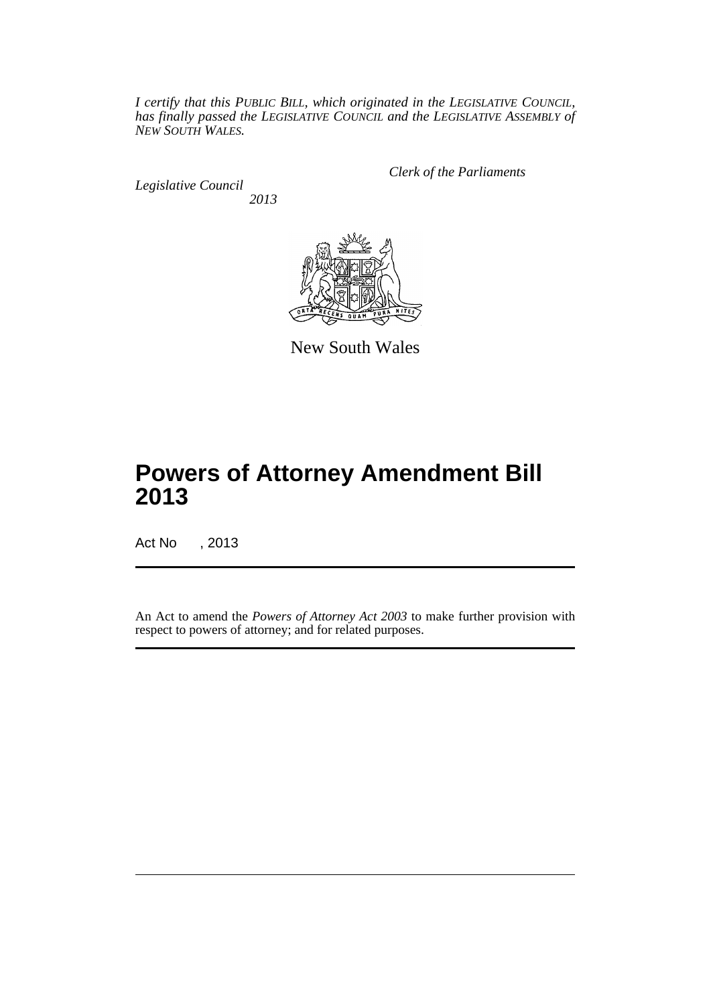*I certify that this PUBLIC BILL, which originated in the LEGISLATIVE COUNCIL, has finally passed the LEGISLATIVE COUNCIL and the LEGISLATIVE ASSEMBLY of NEW SOUTH WALES.*

*Legislative Council 2013* *Clerk of the Parliaments*



New South Wales

# **Powers of Attorney Amendment Bill 2013**

Act No , 2013

An Act to amend the *Powers of Attorney Act 2003* to make further provision with respect to powers of attorney; and for related purposes.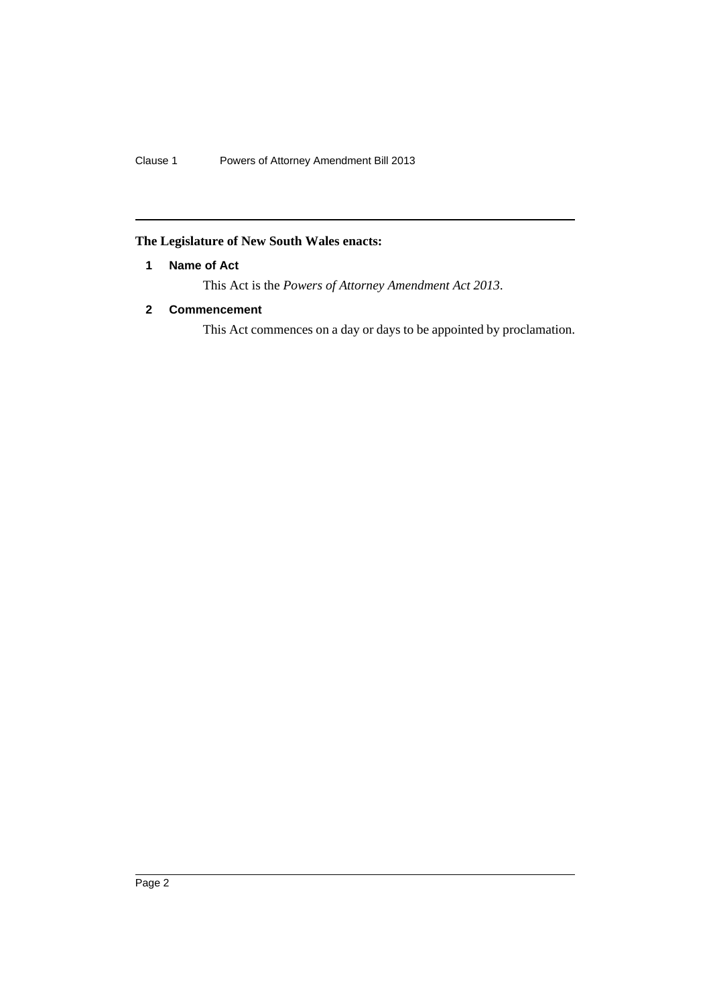Clause 1 Powers of Attorney Amendment Bill 2013

## <span id="page-3-0"></span>**The Legislature of New South Wales enacts:**

## **1 Name of Act**

This Act is the *Powers of Attorney Amendment Act 2013*.

## <span id="page-3-1"></span>**2 Commencement**

This Act commences on a day or days to be appointed by proclamation.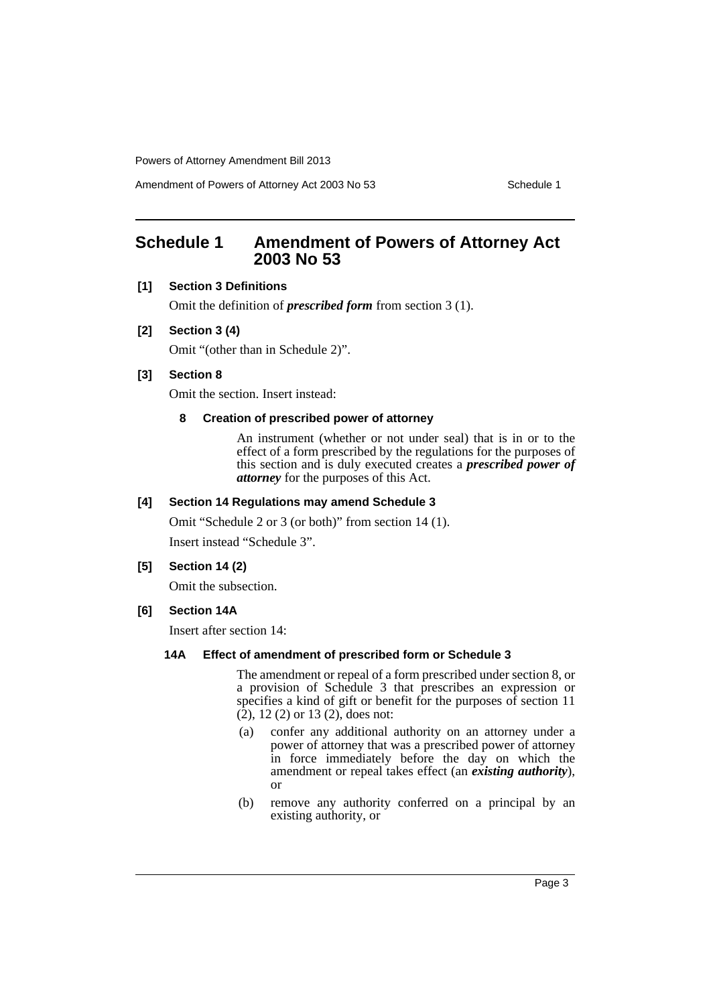Amendment of Powers of Attorney Act 2003 No 53 Schedule 1

# <span id="page-4-0"></span>**Schedule 1 Amendment of Powers of Attorney Act 2003 No 53**

## **[1] Section 3 Definitions**

Omit the definition of *prescribed form* from section 3 (1).

#### **[2] Section 3 (4)**

Omit "(other than in Schedule 2)".

## **[3] Section 8**

Omit the section. Insert instead:

## **8 Creation of prescribed power of attorney**

An instrument (whether or not under seal) that is in or to the effect of a form prescribed by the regulations for the purposes of this section and is duly executed creates a *prescribed power of attorney* for the purposes of this Act.

## **[4] Section 14 Regulations may amend Schedule 3**

Omit "Schedule 2 or 3 (or both)" from section 14 (1).

Insert instead "Schedule 3".

## **[5] Section 14 (2)**

Omit the subsection.

## **[6] Section 14A**

Insert after section 14:

#### **14A Effect of amendment of prescribed form or Schedule 3**

The amendment or repeal of a form prescribed under section 8, or a provision of Schedule 3 that prescribes an expression or specifies a kind of gift or benefit for the purposes of section 11  $(2)$ , 12  $(2)$  or 13  $(2)$ , does not:

- (a) confer any additional authority on an attorney under a power of attorney that was a prescribed power of attorney in force immediately before the day on which the amendment or repeal takes effect (an *existing authority*), or
- (b) remove any authority conferred on a principal by an existing authority, or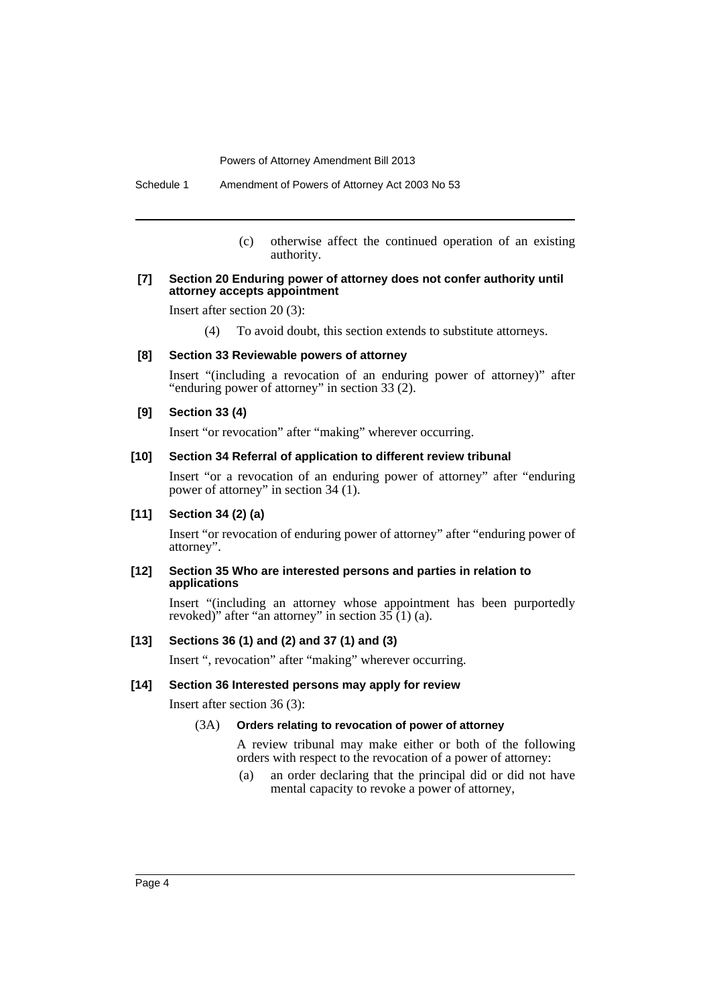Schedule 1 Amendment of Powers of Attorney Act 2003 No 53

(c) otherwise affect the continued operation of an existing authority.

#### **[7] Section 20 Enduring power of attorney does not confer authority until attorney accepts appointment**

Insert after section 20 (3):

(4) To avoid doubt, this section extends to substitute attorneys.

#### **[8] Section 33 Reviewable powers of attorney**

Insert "(including a revocation of an enduring power of attorney)" after "enduring power of attorney" in section 33 (2).

#### **[9] Section 33 (4)**

Insert "or revocation" after "making" wherever occurring.

## **[10] Section 34 Referral of application to different review tribunal**

Insert "or a revocation of an enduring power of attorney" after "enduring power of attorney" in section 34 (1).

#### **[11] Section 34 (2) (a)**

Insert "or revocation of enduring power of attorney" after "enduring power of attorney".

#### **[12] Section 35 Who are interested persons and parties in relation to applications**

Insert "(including an attorney whose appointment has been purportedly revoked)" after "an attorney" in section  $35(1)(a)$ .

## **[13] Sections 36 (1) and (2) and 37 (1) and (3)**

Insert ", revocation" after "making" wherever occurring.

#### **[14] Section 36 Interested persons may apply for review**

Insert after section 36 (3):

#### (3A) **Orders relating to revocation of power of attorney**

A review tribunal may make either or both of the following orders with respect to the revocation of a power of attorney:

(a) an order declaring that the principal did or did not have mental capacity to revoke a power of attorney,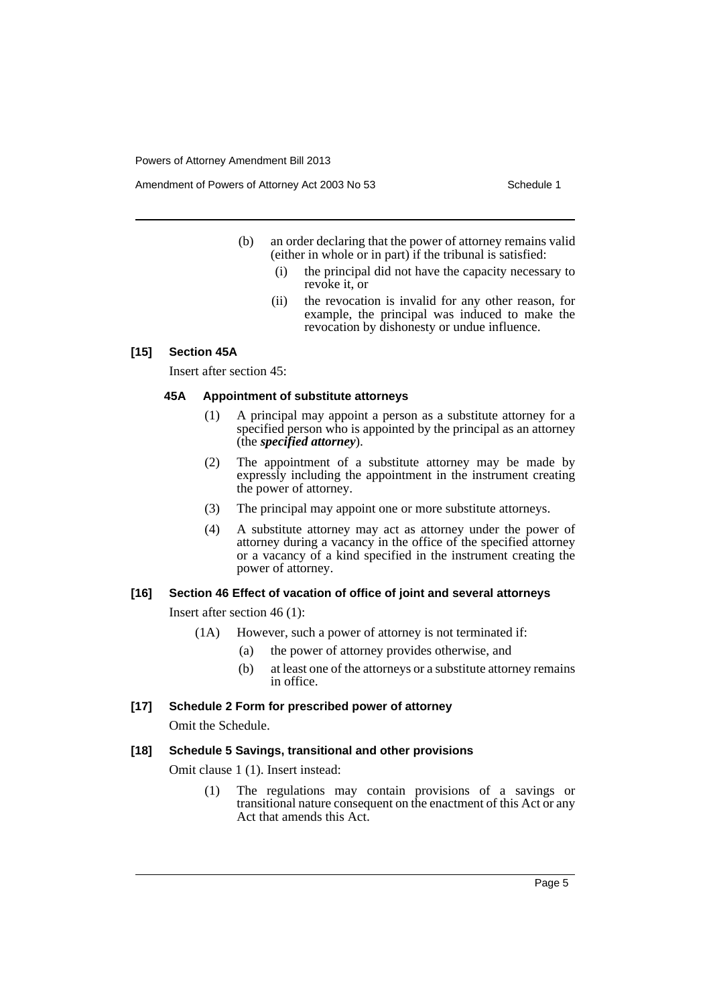Amendment of Powers of Attorney Act 2003 No 53 Schedule 1

- (b) an order declaring that the power of attorney remains valid (either in whole or in part) if the tribunal is satisfied:
	- (i) the principal did not have the capacity necessary to revoke it, or
	- (ii) the revocation is invalid for any other reason, for example, the principal was induced to make the revocation by dishonesty or undue influence.

#### **[15] Section 45A**

Insert after section 45:

## **45A Appointment of substitute attorneys**

- (1) A principal may appoint a person as a substitute attorney for a specified person who is appointed by the principal as an attorney (the *specified attorney*).
- (2) The appointment of a substitute attorney may be made by expressly including the appointment in the instrument creating the power of attorney.
- (3) The principal may appoint one or more substitute attorneys.
- (4) A substitute attorney may act as attorney under the power of attorney during a vacancy in the office of the specified attorney or a vacancy of a kind specified in the instrument creating the power of attorney.

#### **[16] Section 46 Effect of vacation of office of joint and several attorneys**

Insert after section 46 (1):

- (1A) However, such a power of attorney is not terminated if:
	- (a) the power of attorney provides otherwise, and
	- (b) at least one of the attorneys or a substitute attorney remains in office.

## **[17] Schedule 2 Form for prescribed power of attorney**

Omit the Schedule.

#### **[18] Schedule 5 Savings, transitional and other provisions**

Omit clause 1 (1). Insert instead:

(1) The regulations may contain provisions of a savings or transitional nature consequent on the enactment of this Act or any Act that amends this Act.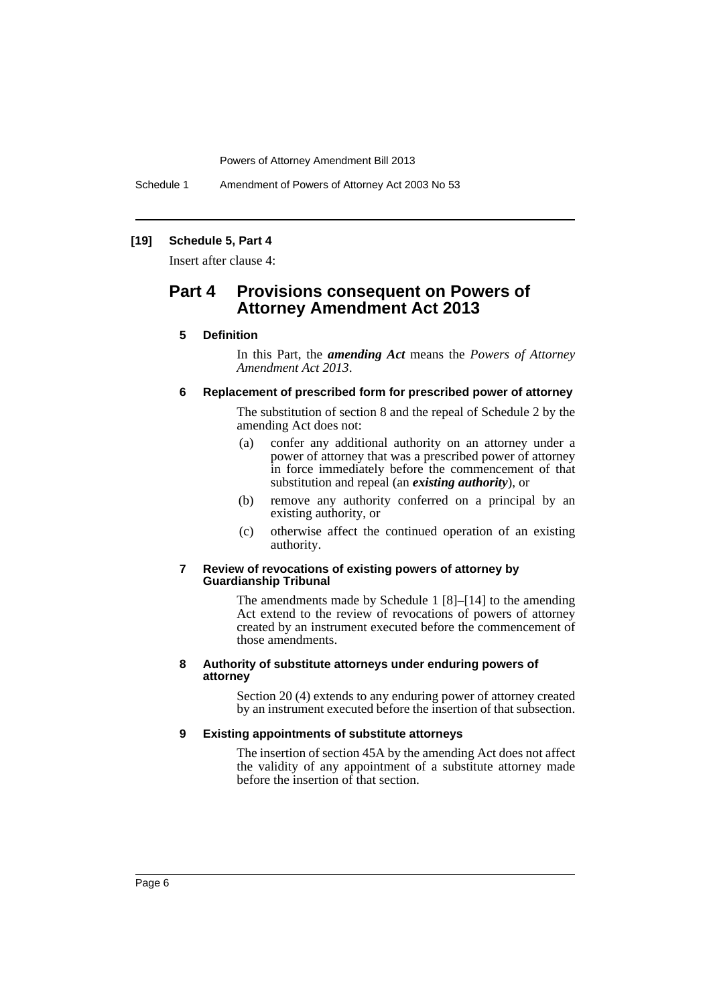Schedule 1 Amendment of Powers of Attorney Act 2003 No 53

## **[19] Schedule 5, Part 4**

Insert after clause 4:

## **Part 4 Provisions consequent on Powers of Attorney Amendment Act 2013**

### **5 Definition**

In this Part, the *amending Act* means the *Powers of Attorney Amendment Act 2013*.

#### **6 Replacement of prescribed form for prescribed power of attorney**

The substitution of section 8 and the repeal of Schedule 2 by the amending Act does not:

- (a) confer any additional authority on an attorney under a power of attorney that was a prescribed power of attorney in force immediately before the commencement of that substitution and repeal (an *existing authority*), or
- (b) remove any authority conferred on a principal by an existing authority, or
- (c) otherwise affect the continued operation of an existing authority.

#### **7 Review of revocations of existing powers of attorney by Guardianship Tribunal**

The amendments made by Schedule 1 [8]–[14] to the amending Act extend to the review of revocations of powers of attorney created by an instrument executed before the commencement of those amendments.

#### **8 Authority of substitute attorneys under enduring powers of attorney**

Section 20 (4) extends to any enduring power of attorney created by an instrument executed before the insertion of that subsection.

#### **9 Existing appointments of substitute attorneys**

The insertion of section 45A by the amending Act does not affect the validity of any appointment of a substitute attorney made before the insertion of that section.